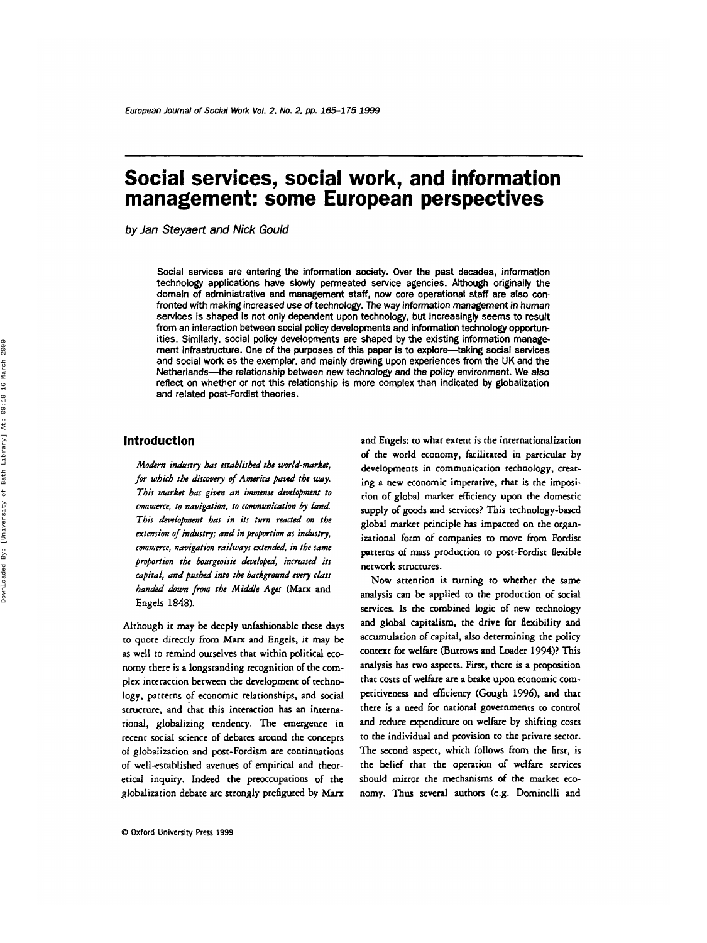# **Social services, social work, and information management: some European perspectives**

*by Jan Steyaert and Nick Gould* 

Social services are entering the information society. Over the past decades, information technology applications have slowly permeated service agencies. Although originally the domain of administrative and management staff, now core operational staff are also confronted with making increased use of technology. The way information management in human services is shaped is not only dependent upon technology, but increasingly seems to result from an interaction between social policy developments and information technology opportunities. Similarly, social policy developments are shaped by the existing information manage ment infrastructure. One of the purposes of this paper is to explore-taking social services and social work as the exemplar, and mainly drawing upon experiences from the UK and the Netherlands--the relationship between new technology and the policy environment. We also reflect on whether or not this relationship is more complex than indicated by globalization and related post-fordist theories.

# **Introduction**

*Modcrn industry has established the world-market,*  for which the discovery of *America paved the way*. *This market has given an immense development to commerce, to navigation, to communication by Lnd This dcwlopmmt has in its turn* **mcted** *on the extension of industry; and in proportion as industry, commerce, navigation railways extended, in the same* proportion the bourgeoisie developed, increased its *capital, and pushed into the background every class hanried down from the Middle Ages (Mux* and Engels 1848).

Although it may be deeply unfashionable these days **to** quote directly from **Marx** and Engels, it **may** be **as** well to remind ourselves that within political economy there is a longstanding recognition of the complex interaction between the development of technology, patterns of economic relationships, and social structure, and that this interaction has an international, globalizing tendency. The emergence in recent social science of debates around the concepts of globalization and post-Fordism are continuations of well-established avenues of empirical and theoretical inquiry. Indeed the preoccupations of the globalization debate are strongly prefigured by *Marx* 

and Engels: **to** what extent is the internationalization of the world economy, facilitated in particular by developments in communication technology, creating a new economic imperative, that is the imposition of global market efficiency upon the domestic supply of goods and services? This technology-based global market principle has impacted on the organizational form of companies **to** move from Fordist patterns of mass production to post-Fordisr flexible network structures.

Now attention is turning to whether the Same analysis can be applied **to** the production **of** social services. **Is** the combined logic of new technology and global capitalism, the drive for flexibility and accumulation of capital, **also** determining the policy context for welfare (Burrows and Loader 1994)? This analysis has cwo **aspects.** First, there **is** a proposition that costs of welfare are a brake upon economic competitiveness and efficiency (Gough **1996),** and that there is a need for national governments to control and reduce expendirure on welfare by shifting costs **to** the individual and provision to the private sector. The second aspect, which follows from the first, is the belief that the operation of welfare services should mirror the mechanisms of the market economy. Thus several authors (e.g. Dominelli and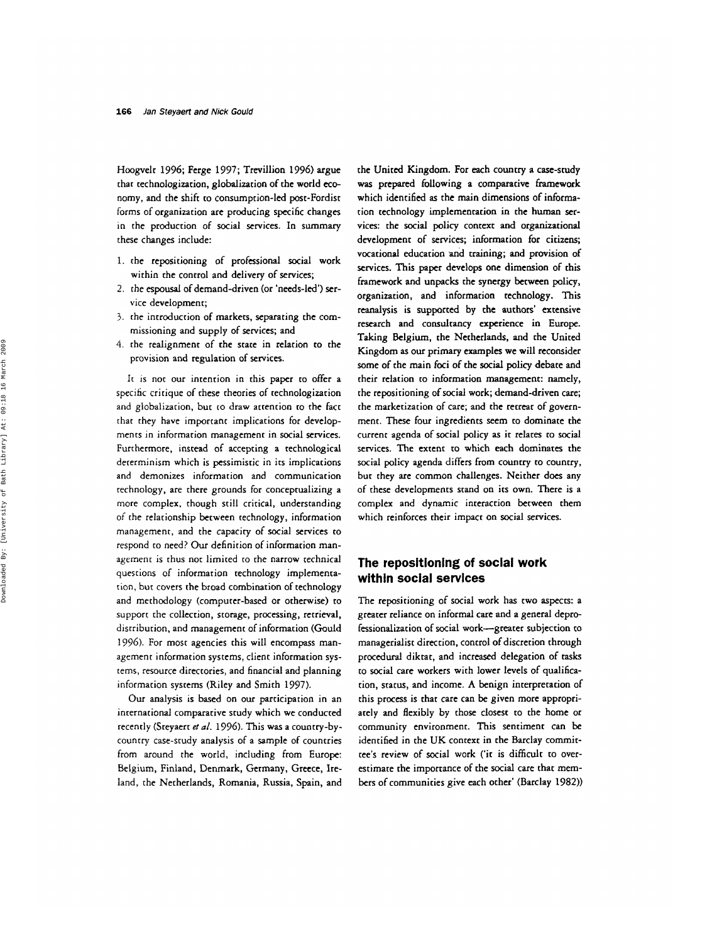Hoogvelt 1996; Ferge 1997; Trevillion 1996) argue that technologization, globalization of the world economy, and the shift to consumption-led post-Fordisc forms of organization are producing specific changes in the production of social services. In summary chese changes include:

- 1. the repositioning of professional social work within the control and delivery of services;
- *2.* the **espousal** of demand-driven (or 'needs-led') **ser**vice development;
- 3. the introduction of markets, separating the commissioning and supply of services; and
- 4. rhe realignment of the state in relation to the provision and regulation of services.

**Ic** is not our intention in this paper to offer a specific critique of these theories of cechnologization and globalizarion, but to draw attention to the fact that they have important implications for developments in information management in social services. Furthermore, instead of accepting a technological dererminism which is pessimistic in its implications and demonizes informarion and communication technology, are there grounds for conceptualizing a more complex, though still critical, understanding of the relationship between technology, information management, and the capacity of social services to respond to need? **Our** definition of information management is thus nor limited to the narrow technical questions of information technology implementation, but covers the broad combination of technology and methodology (computer-based or otherwise) to support the collection, storage, processing, retrieval, disrriburion, and management of information (Gould *1996).* For most agencies this will encompass management information systems, client information systems, resource directories, and financial and planning information systems (Riley and Smith 1997).

Our analysis is based on our participation in an international comparative study which we conducted recently (Sceyaert **et** *al.* 1996). This was a country-bycountry case-scudy analysis of a sample of countries from around the world, including from Europe: Belgium, Finland, Denmark, Germany, Greece, Ireland, the Necherlands, Romania, Russia, Spain, and

the United Kingdom. For each country **a** case-study was prepared following a comparative **framework**  which identified **as** the main dimensions of information technology implementation in the human **ser**vices: the social policy context and organizational development of services; information **for** citizens; vocational education and training; and provision of services. This paper deveiops one dimension of this framework and unpacks the synergy between policy, organization, and information technology. This reanalysis is supported by the authors' extensive research and consultancy experience in **Europe.**  Taking Belgium, the Netherlands, **and** the United Kingdom **as** our primary examples we will reconsider some of the main foci of the social policy debate and their relation **to** information management: namely, the repositioning of social work; demand-driven care; the markecization of care; and the retreat of government. These four ingredients seem to dominate the current agenda of social policy as it relates *to* social services. The extent to which each dominates the social policy agenda differs from country to country, bur they are common challenges. Neither does any of these developments stand on its own. There is a complex and dynamic interaction between them which reinforces their impact on social services.

# **The repositioning of social work within social servlces**

The repositioning of social work has two aspects: a greater reliance on informal care and a general deprofessionalization of social work-greater subjection to managerialisc direction, control of discretion through procedural diktat, and increased delegation of tasks to social care workers with lower levels of qualification, status, and income. **A** benign interpretation of this process is that care can be given more appropriately and flexibly by those closest to the home or community environment. This sentiment can be identified in the UK conrext in the Barclay commictee's review of social work ('it is difficult to overestimate the importance of the social care that members of communities give each other' (Barclay 1982))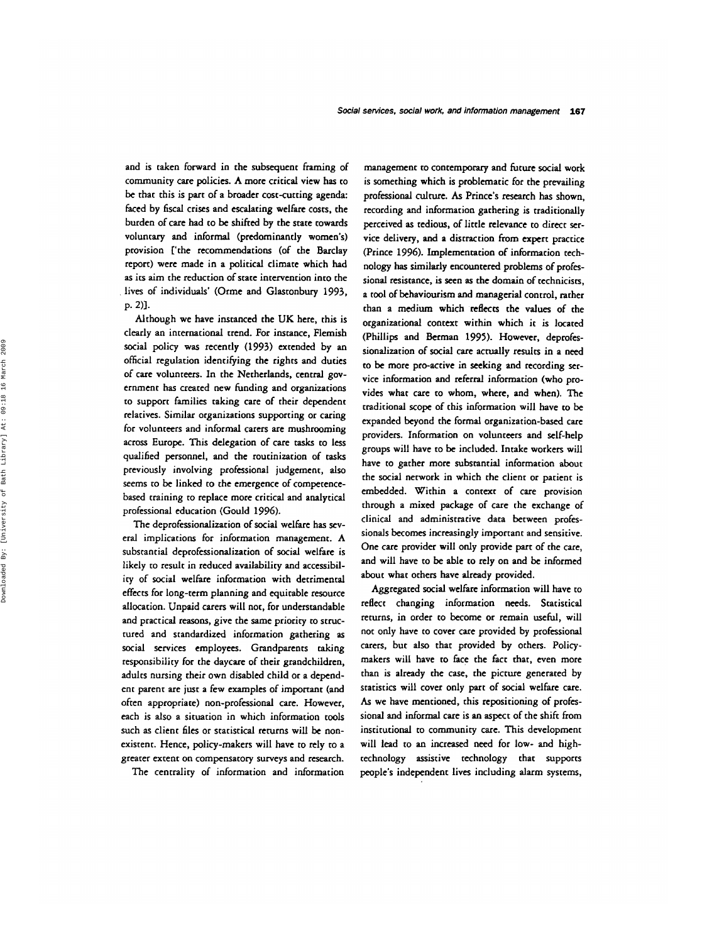and is taken forward in the subsequent framing of community care policies. A more critical view has to be that this is part of a broader cost-cutting agenda: faced by fiscal crises and escalating welfare costs, the burden of care had **to** be shifted by the state towards voluntary and informal (predominantly women's) provision ['the recommendations (of the Barclay report) were made in a political climate which had **as** its aim the reduction of state intervention into the lives of individuals' (Orme and Glastonbury 1993, p. 2)].

Although we have instanced the UK here, chis is clearly an international trend. For instance, Flemish social policy was recently (1993) extended by an official regulation identifying the rights and duties of care volunteers. In the Netherlands, central government has created new funding and organizations **to** support families taking care of their dependent relatives. Similar organizations supporting or caring for volunteers and informal carers are mushrooming across Europe. This delegation of care tasks to **less**  qualified personnel, and the routinization of tasks previously involving professional judgement, also seems to be linked to the emergence of competencebased training to replace more critical and analytical professional education (Gould 1996).

The deprofessionalization of social welfare has several implications for information management. A substancial deprofessionalization of social welfare is likely to result in reduced availability and accessibility of social welfare information with detrimental effects for long-term planning and equitable resource allocation. Unpaid carers will not, for understandable and practical **reasons,** give the same priority to structured and standardized information gathering **as**  social services employees. Grandparents taking responsibility for the daycare of their grandchildren, adults nursing their own disabled child or a dependent parent are just a few examples of important (and often appropriate) non-professional care. However, each is also a situation in which information cools such **as** client **files** or statistical returns will be nonexistent. Hence, policy-makers will have to rely to a greater extent on compensatory surveys and research.

The centrality of information and information

management to contemporary and future social work is something which is problematic for the prevailing professional culture. **As** Prince's research has shown, recording and information gathering is traditionally perceived **as** tedious, of little relevance to direct **ser**vice delivery, **and** a distraction from **expert** practice (Prince 1996). Implementation of information technology **has** similarly encountered problems of professional resistance, is seen **as** the domain of technicisa, a tool of behaviourism and managerial control, rather than a medium which reflects the values of the organizational context within which it is located (Phillips and Berman 1995). However, deprofessionalization of social care actually resulcs in a need to be more pro-active in seeking and recording service information and referral information (who provides what care to whom, where, and when). The traditional **scope** of this information will have **to** be expanded beyond the formal organization-based care providers. Information on volunteers and self-help groups will have to be included. Intake workers will have to gather more substantial informarion about the social network in which the client or patient is embedded. Within a context of care provision through a mixed package of care the exchange of clinical and administrative data between professionals becomes increasingly important and sensitive. One care provider will only provide part of the care, and will have to be able **to** rely on and be informed about what others have already provided.

Aggregated social welfare information will have to reflect changing information needs. Statistical returns, in order to become or remain useful, will not only have to cover care provided by professional carers, but also that provided by others. Policymakers will have to face the fact that, even more than is already the case, the picture generated by statistics will cover only part of social welfare care. *As* we have mentioned, this repositioning of professional and informal care is an **aspect** of the shift from institutional to community care. This development will lead **to** an increased need for low- and hightechnology assisrive technology that supports people's independent lives including alarm systems,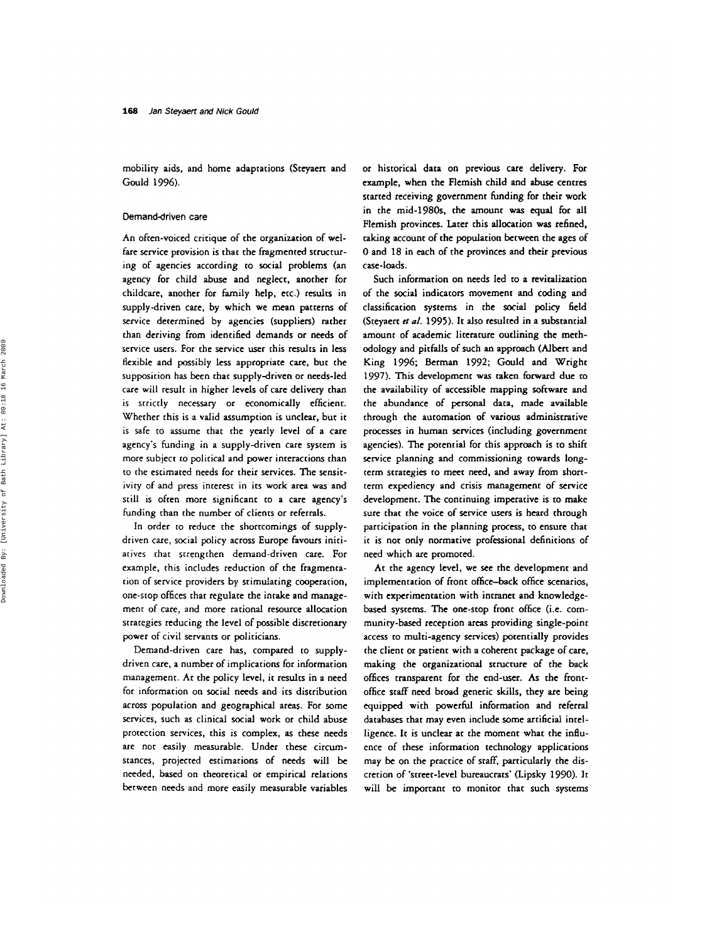mobility aids, and home adaptations (Stcyaert and Gould 1996).

#### **Demand-driven care**

An often-voiced critique of the organization of welfare service provision is that the fragmented structuring of agencies according **to** social problems (an agency for child abuse and neglect, another for childcare, another for family help, etc.) results in supply-driven care, by which we mean **patterns** of service determined by agencies (suppliers) rather than deriving from identified demands or needs of service users. For the service **user** this results in less flexible and possibly less appropriate care, but the supposition has been that supply-driven or needs-led care will result in higher levels of care delivery than is strictly necessary or economically efficient. Whether this is a valid assumption is unclear, but it *is* safe **to** assume chat the yearly level of a care agency's funding in a supply-driven care system is more subject **to** political and power interactions than to the estimated needs for their services. The sensitivity of and press interest in its work area **was** and still is often more significant **to** a care agency's funding than the number of clients or referrals.

In order to reduce the shortcomings of supplydrivcn care, social policy across Europe favours initiatives rhac strengthen demand-driven care. For example, this includes reduction of the fragmentation of service providers by stimulating cooperation, one-stop offices that regulate the intake and management of care, and more rational resource allocation strategies reducing the level of possible discretionary power of civil servants or politicians.

Demand-driven care has, compared **to** supplydriven care, a number of implications for information management. At the policy level, it results in a need for information on social needs and its distribution across population and geographical areas. For some services, such as clinical social work or child abuse protection services, this is complex, **as** these needs are nor easily measurable. Under these circumstances, projected estimations of needs will be needed, based on theoretical or empirical relations between needs and more easily measurable variables

or historical data on previous care delivery. For example, when the Flemish child and **abuse** centres started receiving government funding for their **work**  in the mid-1980s. the amount was equal for all Flemish provinces. Later this allocation **was** refined, taking account of the population between the ages of 0 and 18 in each of rhe provinces and their previous case-loads.

Such information on needs led to a revitalization of the social indicators movement and coding and classification systems in the social policy field (Sceyaert *et* **a/.** 1995). It also resulted in a substantial amount of academic literature outlining the methodology and pitfalls of such an approach (Albert and King 1996; Berman 1992; Gould and Wright 1997). This development **was** taken forward due to the availability of accessible mapping software and the abundance of personal data, made available through the automation of various administrative processes in human services (including government agencies). The potenrial for this approach is **to** shift service planning and commissioning towards longterm strategies to meet need, and away from shortterm expediency and crisis management of service development. The continuing imperative is to make sure that che voice of service users is heard through participation in the planning process, **to** ensure that it is not only normative professional definitions of need which are promoted.

At the agency level, we see the development and implementation of front office-back office scenarios, with experimentation with intranet and knowledge**based** systems. The one-stop front office (i.e. community-based reception areas providing single-point access **to** multi-agency services) potentially provides the client or patient with a coherent package of care, making the organizational structure of the back offices transparent for the end-user. **As** the frontoffice **staff** need broad generic **skills,** they are being equipped with powerhl information and referral databases that may even include some artificial intelligence. It is unclear at the moment what the influence of these information technology applications may be on the practice of **staff,** particularly the discretion of 'street-level bureaucrats' (Lipsky 1990). It will be important to monitor that such systems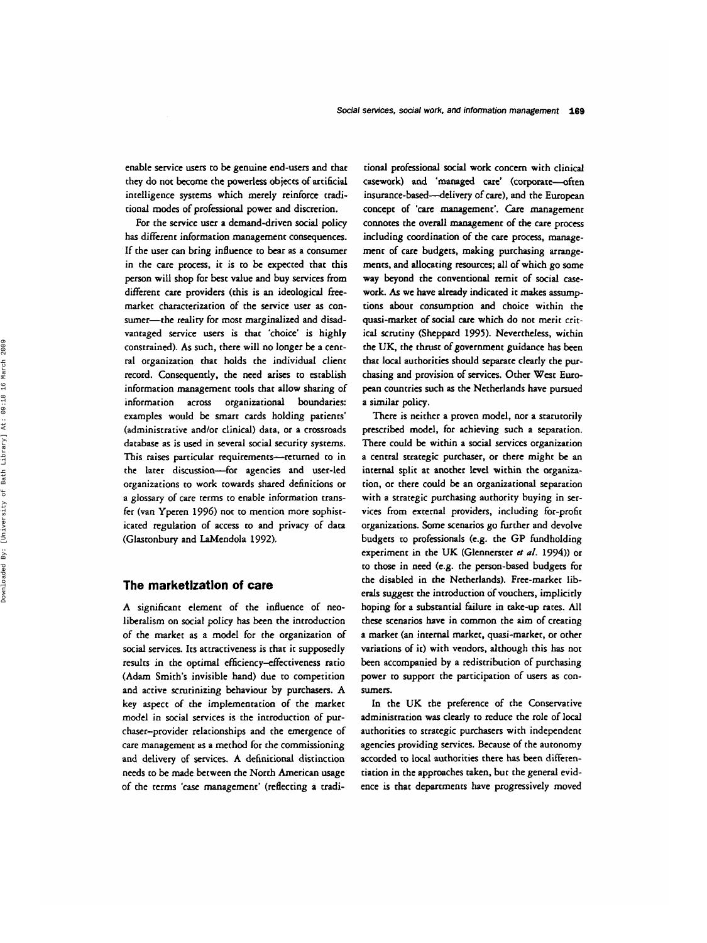enable service users to be genuine end-users and that they do not become the powerless objeccs of artificial intelligence systems which merely reinforce craditional modes of professional power and discretion.

For the service user a demand-driven social policy has different information management consequences. If the user can bring influence to **bear as** a consumer in the care process, it is to be expected that chis person will shop for **best** value and buy services from different care providers (this is an ideological freemarket characterization of the service user **as** consumer-the reality for most marginalized and disadvantaged service users is that 'choice' is highly constrained). **As** such, there will no longer be a central organization that holds the individual client record. Consequently, the need arises to establish information management tools that allow sharing of information across organizational boundaries: examples would be smart cards holding patients' (administrative and/or clinical) data, or a crossroads database **as** is **used** in several social security systems. This raises particular requirements-returned to in the later discussion-for agencies and user-led Organizations to work towards shared definitions or a **glossary** of care terms **to** enable information transfer (van Yperen 1996) not to mention more sophisticated regulation of access to and privacy of data (Glastonbury and LaMendola 1992).

## **The marketlzatlon of care**

A significant element of the influence of neoliberalism on social policy has been the introduction of the market **as** a model for the organization of social services. Its attractiveness is that it supposedly results in the optimal efficiency-effectiveness ratio (Adam Smith's invisible hand) due to competition and active scrutinizing behaviour by purchasers. A key aspect of the implementation of the market model in social services is the introduction of purchaser-provider relationships and the emergence of care management **as** a method for rhe commissioning and delivery of services. A definitional distinction needs to be made between the North American usage of the terms 'case management' (reflecting a tradi-

tional professional **social** work concern with clinical casework) and 'managed care' (corporate--often **insurance-based-delivery** of care), and the European concept of 'care management'. Care management connotes the overall management of the care process including coordination of the care process, management of care budgets, making purchasing arrangements, and allocating resources; all of which go some way beyond the conventional remit of social casework. **As** we have already indicated it makes assumptions about consumption and choice within the quasi-market of social care which do not merit critical scrutiny (Sheppard 1995). Nevertheless, within the UK, the thrust of government guidance has been that local authorities should separate clearly the purchasing and provision of services. Other West European countries such **as** the Netherlands have pursued a similar policy.

There is neither a proven model, nor a statutorily prescribed model, for achieving such a separation. There could be within a social services organization a central strategic purchaser, or there might be an internal split at another level within the organization, or there could be an organizational separation with a strategic purchasing authority buying in **ser**vices from external providers, including for-profit organizations. Some scenarios go further and devolve budgets to professionals (e.g. the GP fundholding experiment in the UK (Glennerster *et a/.* 1994)) or to those in need (e.g. the person-based budgets for the disabled in the Netherlands). Free-market liberals suggest the introduction of vouchers, implicitly hoping for a substantial failure in cake-up rates. All these scenarios have in common the aim of creating a market (an internal market, quasi-market, or other variations of it) with vendors, although this has not been accompanied by a redistribution of purchasing power **to** support the participation of users **as** consumers.

In the UK the preference of the Conservative administration was clearly **to** reduce the role of local authorities to strategic purchasers with independent agencies providing services. Because of the autonomy accorded to local authorities there has **been** differentiation in the approaches taken, but the general evidence is that departments have progressively moved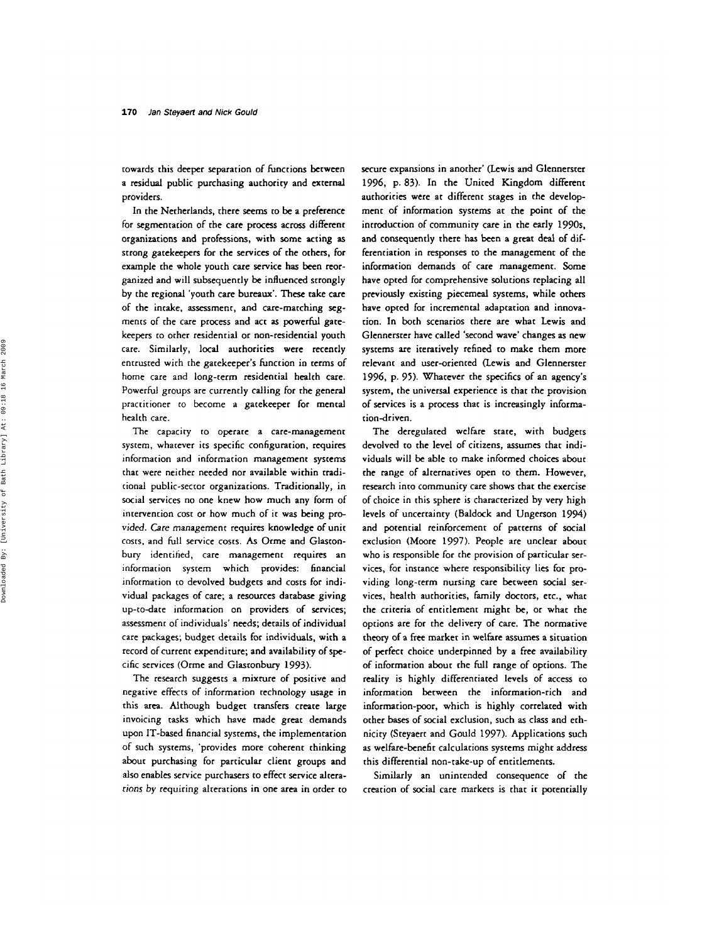cowards this deeper separation of functions between a residual public purchasing authority and external providers.

In the Netherlands, there **seems** to be a preference for segmentation of the care **process across** different organizations and professions, with some acting **as**  strong gatekeepers for che services of the ochers, for example the whole youth care service has been reorganized and will subsequently be influenced scrongly by the regional 'youch care bureaux'. These take care of the intake, assessment, and care-matching *seg*mencs of the care process and act **as** powerful gate**keepers** to other residentid or non-residential youth care. Similarly, local authorities were recently entrusted with the gatekeeper's function in cerms of home care and long-term residential health care. Powerful groups are currently calling for the general practitioner co become a gatekeeper for mental health care.

The capacity to operate a care-management system, whatever its specific configuration, requires information and information management systems that were neither needed nor available within rradicional public-sector organizacions. Traditionally, in social services no one knew how much any form of intervention cost or how much of it was being provided. *Care* management requires knowledge of unit costs, and full service costs. *As* Orme and Glastonbury idencihed, care management requires an information system which provides: financial information to devolved budgets and costs for individual packages of care; a resources database giving up-to-date information on providers of services; assessment of individuals' needs; details of individual care packages; budget details for individuals, with a record of current expenditure; and availability of specific services (Orme and Glasronbury 1993).

The research suggests a mixture of positive and negative effects of information cechnology usage in this *area.* Although budget transfers create large invoicing tasks which have made great demands upon IT-based financial syscems, the implementation of such systems, 'provides more coherent thinking about purchasing for particular client groups and **also** enables service purchasers to effect service alcera*rions* by requiring alreracions in one area in order to secure expansions in another' (Lewis and Glennerster 1996, p. 83). In the United Kingdom different authorities were at different stages in the development of informarion systems at the poinc of the introduction of community care in the **early** 1990s, and consequently there has been **a** great deal of differentiation in responses **to** the management of the information demands of care management. Some have opted for comprehensive solutions replacing all previously existing piecemeal systems, while others have opted for incremental adaptation and innovation. In both scenarios there are what Lewis and Glennerster have called 'second wave' changes **as** new systems are iteratively refined to make them more relevant and user-oriented (Lewis and Glennerster 1996, p. 95). Whatever the specifics of an agency's system. the universal experience is that the provision of services is a process that is increasingly information-driven.

The deregulated welfare state, with budgets devolved to the level of citizens, assumes that individuals will be able to make informed choices about the range of alternatives open to them. However, research into community care shows that the exercise of choice in this sphere is characterized by very high levels of uncertainty (Baldock and Ungerson 1994) and potential reinforcement of patterns of social exclusion (Moore 1997). People are unclear **about**  who is responsible for the provision of particular services, for instance where responsibility lies for providing long-cerm nursing care becween social services, health authorities, family doctors, etc., what the criteria of entitlement might be, or what the options are for the delivery of care. The normative theory of a **free** marker in welfare assumes a situation of perfect choice underpinned by **a** free availability of information about rhe full range of options. The reality is highly differenciaced levels of access to information between the information-rich and information-poor, which is highly correlated with other bases of social exclusion, such **as** class and ethnicity (Steyaert and Gould 1997). Applications such **as** welfare-benefic calculations systems might address this differential non-take-up of entitlements.

Similarly an unintended consequence of the creation of social care markets is that it potentially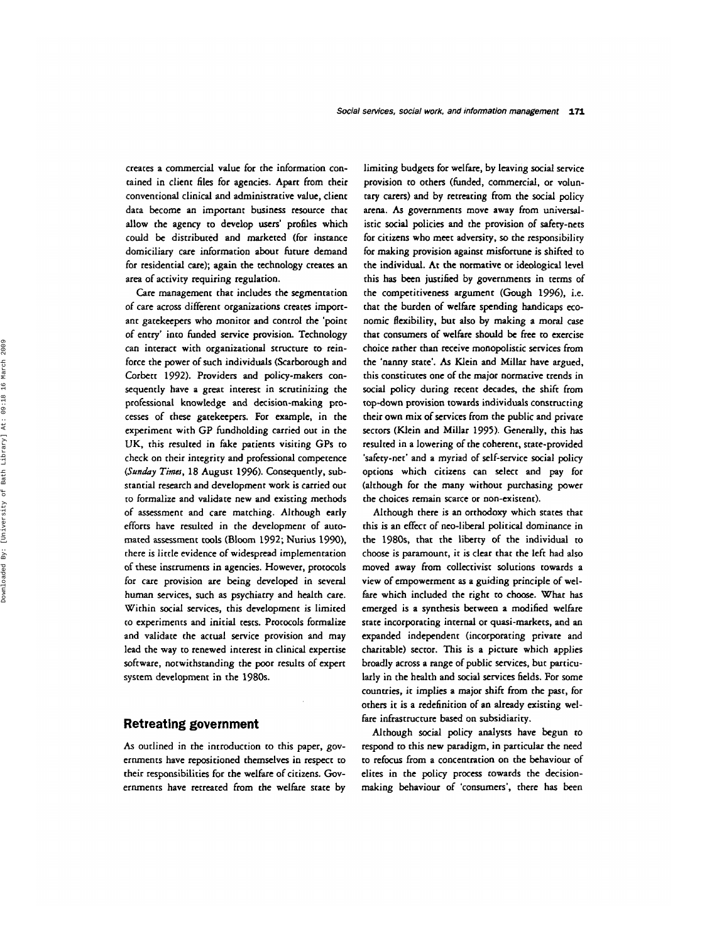creates a commercial value for the information contained in client **files** for agencies. Apart from their conventional clinical and administrative value, client data become an important business resource that allow the agency to develop **users'** profiles which could be distributed and marketed (for instance domiciliary care information about future demand for residential care); again the technology creates an area of activity requiring regulation.

Care management that includes the segmentation of care across different organizations creates important gatekeepers who monitor and control the 'point of entry' into funded service provision. Technology can interact with organizational structure **to** reinforce the power of such individuals (Scarborough and Corbett 1992). Providers and policy-makers consequently have a great interest in scrutinizing the professional knowledge and decision-making processes of chese gatekeepers. For example, in the experiment with GP fundholding carried out in the UK, this resulted in fake patients visiting GPs to check on their integricy and professional competence *(Sunduy Timu,* 18 August 1996). Consequently, substantial research and development work is carried out to formalize and validate new and existing methods of assessment and care matching. Although early efforts have resulted in the development of automated assessment tools (Bloom 1992; Nurius 1990), there is little evidence of widespread implementation of these instruments in agencies. However, protocols for care provision are being developed in several human services, such **as** psychiatry and health care. Within social services, this development is limited to experiments and initial tests. Protocols formalize and validate the actual service provision and may lead the way to renewed interest in clinical expertise software, notwithstanding the poor results of expert system development in the 1980s.

# **Retreating government**

As outlined in the introduction to this paper, governments have repositioned themselves in respect to their responsibilities for the welfare of citizens. Governments have retreated from the welfare state by limiting budgets for welfare, by leaving social service provision to others (funded, commercial, or voluntary carers) and by retreating from the social policy arena. *As* governments move away from universalistic social policies and the provision of safety-nets for citizens who meet adversity, so the responsibility for making provision against misfortune is shifted to the individual. At the normative or ideological level this has been juscified by governments in terms of the competitiveness argument (Gough 1996), i.e. chat the burden of welfare spending handicaps economic flexibility, but also **by** making a moral case that consumers of welfare should be free to exercise choice rather than receive monopolistic services from the 'nanny state'. *As* Klein and Millar have argued, this constitutes one of the major normative trends in social policy during recent decades. the shift from top-down provision towards individuals constructing their own mix of services from the public and private sectors (Klein and Millar 1995). Generally, chis has resulted in **a** lowering of the coherent, state-provided 'safety-net' and a myriad of self-service social policy options which citizens can select and pay for (although for the many without purchasing power the choices remain scarce or non-existent).

Although there is an orthodoxy which states that this is an effect of neo-liberal political dominance in the 1980s, that the liberty of the individual to choose is paramount, it is clear that the left had also moved away from collectivist solutions towards a view of empowerment **as** a guiding principle of welfare which included the right to choose. What has emerged is a synthesis between a modified welfare state incorporating internal or quasi-markets, and an expanded independent (incorporating private and charitable) sector. This is a picture which applies broadly across a range of public services, but particularly in the health and social services fields. For some countries, it implies a major shift from the past, for others it is a redefinition of an already existing welfare infrastructure based on subsidiarity.

Although social policy analysts have begun to respond to this new paradigm, in particular the need to refocus from a concentration on the behaviour of elites in the policy process towards the decisionmaking behaviour of 'consumers', there has been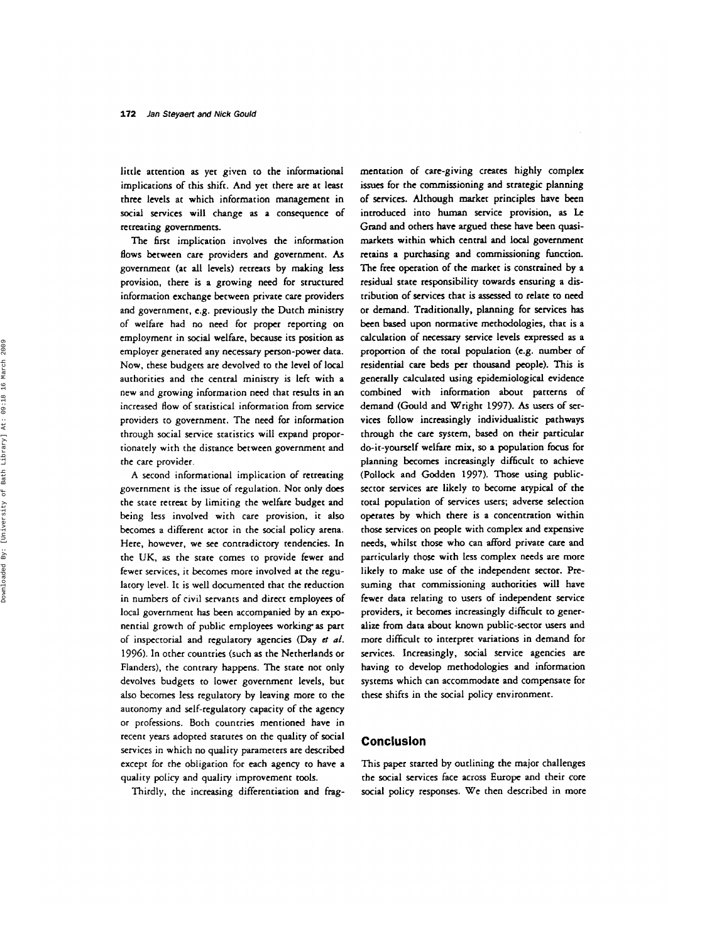little attention **as** yet given to the informational implications of this shift. And yet there are at least rhree levels at which information management in social services will change **as** a consequence of recreating governments.

The **fist** implication involves the information flows between care providers and government. **As**  government (at all levels) retreats by making less provision, there is a growing need for structured information exchange between private care providers and government, e.g. previously the Dutch ministry of welfare had no need for proper reporring on employment in social welfare, because its position as employer generated any necessary person-power data. Now, these budgets are devolved to the level of local authorities and rhe central ministry is left with a new and growing informarion need chat results in an increased flow of statistical information from service providers to government. The need for information through social service statistics will expand proportionately with the distance between government and the care provider.

A second informational implication of retreating government is the issue of regulation. Not only does the state rerreac by limiting the welfare budget and being less involved with care provision, it also becomes a different actor in the social policy arena. Here, however, we see contradictory tendencies. In the UK, **as** the state comes ro provide fewer and fewer services, ic becomes more involved at the regulatory level. **Ic** is well documented that the reduction in numbers of civil servants and direct employees of **local** government has been accompanied by an exponential growth of public employees working as part of inspectorial and regulatory agencies (Day **ct** *af.*  1996). In ocher countries (such **as** the Netherlands or Flanders), the contrary happens. The state not only devolves budgets to lower government levels, but **also** becomes **less** regulatory by leaving more to the autonomy and self-regulatory capacity of the agency or professions. Both countries mentioned have in recent years adopted starures on the quality of social services in which no quality parameters are described except for the obligation for each agency to have a quality policy and quality improvement tools.

Thirdly, the increasing differentiation and frag-

mentation of care-giving creates highly complex issues for the commissioning and strategic planning of services. Although market principles have been introduced into human service provision, **as Le**  Grand and others have argued these have been quasimarkets within which central and local government retains a purchasing and commissioning function. The free operation of the market is constrained by a residual state responsibility towards ensuring a distribution of services that is **assessed to** relate to need or demand. Traditionally, planning for services has been based upon normative methodologies, that is a calculation of neceSSafy service levels expressed **as** a proportion of the total population (e.g. number of residenrial care **beds** per thousand people). **This** is generally calculated using epidemiological evidence combined with information about patterns of demand (Gould and Wright *1997).* **As** users of **ser**vices follow increasingly individualistic pathways through the care system, based on their particular do-it-yourself welfare mix, *so* a population focus for planning becomes increasingly difficult to achieve (Pollock and Godden 1997). **Those** using publicsector services are likely **to** become atypical of the total population of services users; adverse selection operates by which there is a concentration within those services on people with complex and expensive needs, whilst those who can afford private care and particularly those with **less** complex needs **are** more likely to make use of the independent sector. Presuming that commissioning authorities will have fewer data relating **to** users of independent service providers, it becomes increasingly difficult **to** generalize from data about known public-sector users and more difficult to interpret variations in demand for services. Increasingly, social service agencies are having to develop methodologies and information systems which can accommodate and compensate for these shifts in the social policy environment.

## **Concluslon**

This paper started by outlining the major challenges rhe social services face across **Europe** and cheir core social policy responses. We then described in more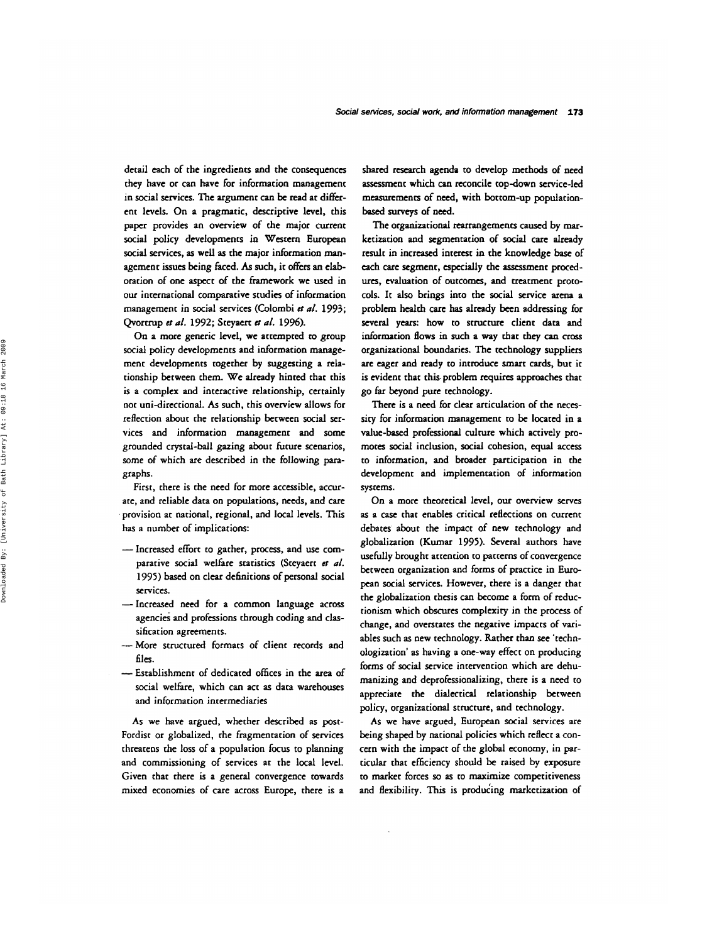detail each of the ingredients and the consequences they have or can have for information management in social services. The argument can **be** read at different levels. On a pragmatic, descriptive level, this paper provides an overview of the major current social policy developments in Western **European**  social services, **as** well **as** the major information management issues being faced. **As** such, it offers an elaboration of one aspect of the framework we **used** in our international comparative studies of information management in social services (Colombi *et al.* 1993; Qvortrup *et* al. 1992; Steyaert **et** al. 1996).

On a more generic level, we attempted to group social policy developments and information management developments together by suggesting a relationship between them. We already hinted that this is a complex and interactive relationship, certainly not uni-directional. As such, this overview allows for reflection about the relationship between social services and information management and some grounded crystal-ball gazing about future scenarios, some of which are described in the following paragraphs.

First, there is the need for more accessible, accurate, and reliable data on populations, needs, and care provision at national, regional, and local levels. This has a number of implications:

- Increased effort to gather, process, and **use** comparative social welfare statistics (Steyaert **et** *al.*  1995) *based* on clear definitions of personal social services.
- -Increased need for a common language across agencies and professions through coding and classification agreements.
- -More structured formats of client records and **files.**
- Establishment of dedicated offices in the area of social welfare, which can act **as** data warehouses and informarion intermediaries

*As* we have argued, whether described **as** post-Fordist or globalized, the fragmentation of services threatens the loss of a population focus to planning and commissioning of services at the local level. Given that there is a general convergence towards mixed economies of care across Europe, there is a

shared research agenda to develop methods of need assessment which can reconcile top-down service-led measurements of need, with bottom-up populationbased surveys of need.

The organizational rearrangements caused by *mar*ketization and segmentation of social care already result in increased intenst in the knowledge **base** of each care segment, especially the assessment procedures, evaluation of outcomes, and treatment protocols. It **also** brings into the **social** service arena a problem health care **has** already been addressing for *several* years: how to structure client data and information flows in such a way that they *can* cross organizational boundaries. The technology suppliers are eager and ready to introduce smart cards, but it is evident that this. problem requires approaches that go far beyond pure technology.

There is a need for clear articulation of the necessity for information management to be located in a value-based professional culture which actively promotes social inclusion, social cohesion, **equal** access to information, and broader participation in the development and implementation of information systems.

On a more theoretical level, our overview serves **as** a case that enables critical reflections on current debates about the impact of new technology and globalization (Kumar 1995). Several authors have usefully brought attention to patterns of convergence between organization and forms of practice in European social services. However, there is a danger that the globalization thesis can become a form of reductionism which obscures complexity in the process of change, and overstates the negative impacts of variables such **as** new technology. Rather than see 'technologization' **as** having a one-way effect on producing forms of social service intervention which are dehumanizing and deprofessionalizing, there is a need to appreciate the dialectical relationship between policy, organizational structure, and technology.

**As** we have argued, European social services are being shaped by national policies which reflect a concern with the impact of the global economy, in **par**ticular that efficiency should be raised by exposure to market forces *so* **as** to maximize competitiveness and flexibility. This is producing marketization of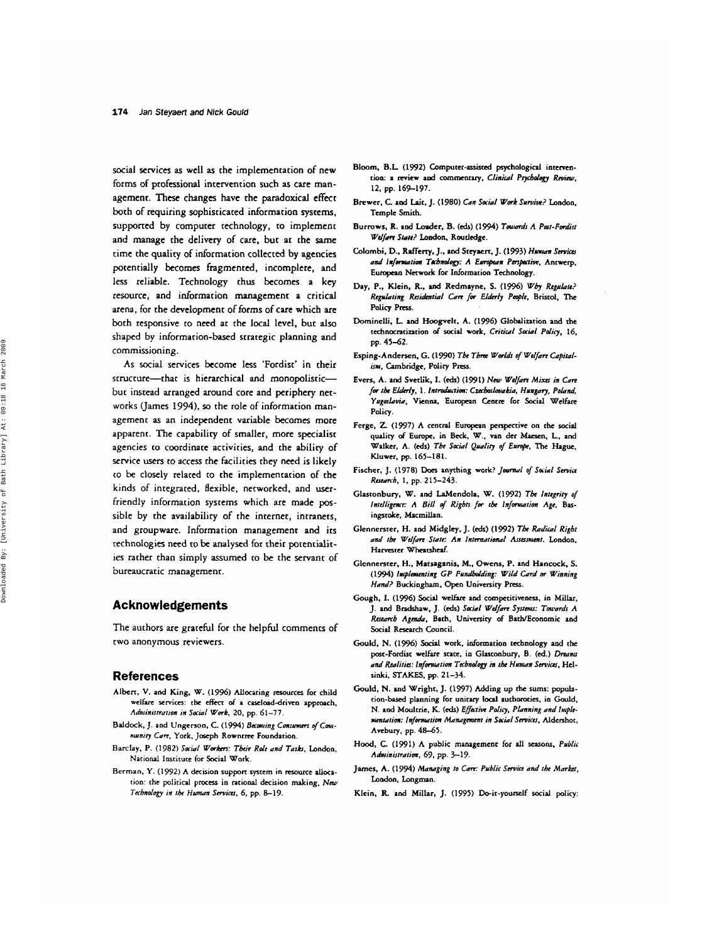social services **as** well **as** the implementation of new forms of professional intenention such **as** care management. These changes have the paradoxical effect both of requiring sophisticated information systems, supported by computer technology, to implement and manage the delivery of care, but at the same time the quality of information collected **by** agencies potentially **becomes** fragmented, incomplete, **and less** reliable. Technology thus becomes a **key**  resource, and information management a critical arena, for the development of forms of care which are both responsive **to** need at the local level, but **also**  shaped by information-based strategic planning and commissioning.

**As** social services become **less** 'Fordisc' in their structure-that is hierarchical and monopolisticbut instead arranged around core and periphery networks (James **1994).** *so* the role of information management **as** an independent variable **becomes** more apparent. The capabiliry of smaller, more specialist agencies to coordinate activities, and the ability of service users **to** access the facilities they need is likely **to** be closely related **to** the implementation of the kinds of integrated, flexible, networked, and userfriendly information systems which are made **pos**sible by the availabiliry of the internet, intranets, and groupware. Information managemenr and its technologies need to be analysed for their potentialities rather than simply assumed to be the servant of bureaucratic management.

### **Acknowledgements**

The authors are graceful for the helpful comments of **two** anonymous reviewers.

#### **References**

- Albert, **V.** and King, **W. (19%)** Allocating resources **for** child welfare services: **the effccr** *of* **a** cucloaddriwn approach, *Administration in Sa?d Wd.* **20.** pp. **61-77.**
- Baldock, J. and Ungerson, C. (1994) Becoming Consumers of Community Care, York. Joseph Rowntree Foundation.
- **Barclay. P. (1982)** *Said Workers: Tbeir Rde und Tush,* London, Narional **Institure lor** Social Work.
- Berman, Y. (1992) A decision support system in resource allocation: the political process in rational decision making, New *Technology in rbe Hmwn Smiw.* **6,** pp. **8-19.**
- Bloom, B.L. (1992) Computer-assisted psychological intervenrion: **a** miew **aod** commentary, *Cliniul Pqcbdogl Rrvinu,*  **12,** pp. **169-197.**
- Brewer, C **ad Lair. J. (1980)** *Can Said Work Suwiw?* London. Temple Smith.
- Burrows, R. and Loader, B. (eds) (1994) Towards A Past-Fordist *Wdfm* **Scrrrr? London, Roudedge.**
- **Calombi, D., Rafferry.** J.. **and Stey.cn,** J. **(1993)** *Hmm Savh*  and *information Tabnology: A European Perspative*, Antwerp, European Network for Information Technology.
- Day, P., Klein, R., and Redmayne, S. (1996) Wby Regulate? *Reg&ring Raihriul Cum fw EIhIy Pcoplr,* Bristol, The Policy Press.
- Dominelli, L. and Hoogvelt, A. (1996) Globalization and the technocnrization *of* social work. *Critiul Saw1 Policy,* **16,**  pp. **45-62.**
- Esping-Andersen, G. (1990) The Three Worlds of Welfare Capitalism, Cambridge, Polity Press.
- Eves, A. **and** Svcrlik. I. (&) **(1991)** *New Wdfm Mixa in Cun for tbr* **Wy, 1.** *In1&7im: Cztcbadwukiu, Hnnguy, Po&nd, Yugoslavia*, Vienna, European Centre for Social Welfare Policy.
- **Ferge,** *Z* **(1997) A** central European perspective on **the** social quality *of* Europe, in Beck, **W..** van der Maesen. **L..** and **Walker, A. (eds)** *Tbr Said Qnuliq of Em@,* **The Hague.**  Kluwer, **pp. 165-181.**
- Fixher, J. **(1978)** Does anything work? *Jovnwl of Social Smiu Rmb.* **1.** pp. **215-243.**
- Glasronbury, **W. and** LaMendola. *W. (1992) Tbe Intqrity 01 lntdligmc A Bill* **of** *Rigbts for rbe In/mution Age,* Basingstoke, Macmillan.
- Glennersrer, H. **and** Midgley. J. **(eds) (1992)** *Tbr Rudiul Rigbt und tbe Wdfm Stutc: An Intemutionul Assasnmt.* London. Harvester *Wheatsheaf*.
- Glennersrer. H., Mataganis, **M..** Owens, **P.** and Hancock. *S.*  **(1994)** *Iwplanmting GP Fundbddng: Wild Curd or Winning*  Hand? Buckingham, Open University Press.
- Gough, I. (1996) Social welfare and competitiveness, in Millar, J. and Bradshaw, J. (eds) Social Welfare Systems: Towards A Research Agenda, Bath, University of Bath/Economic and Social Research Council.
- Gould, N. (1996) Social work, information technology and the **port-Fordisc** welfare **srate,** in Glutonbury, *8.* **(4.)** *Dreunu*  and Realities: Information Technology in the Human Services, Helsinki. **STAKES,** pp. **21-34.**
- Gould, N. and Wright, J. **(1997)** Adding up **the sums:** population-based planning for unitary local authoroties, in Gould, N. **and Moultrie, K. (A)** *Eflattie Pdicy, Plrrnning und lniplemtnturim: Infmutitm Munugcnmr in Social Saviru,* Aldershot, Avebury, pp. **4E-61.**
- **Hood,** *C* **(1991) A** public managemenr **for all seasons.** *Pn6lii Administrution,* **69,** pp. **3-19.**
- James, A. **(1 994)** *Muttaging ro Cm: Pablir Savin und tbe Market,*  **London,** Longman.
- Klein, R. and Millar, J. (1995) Do-it-yourself social policy: